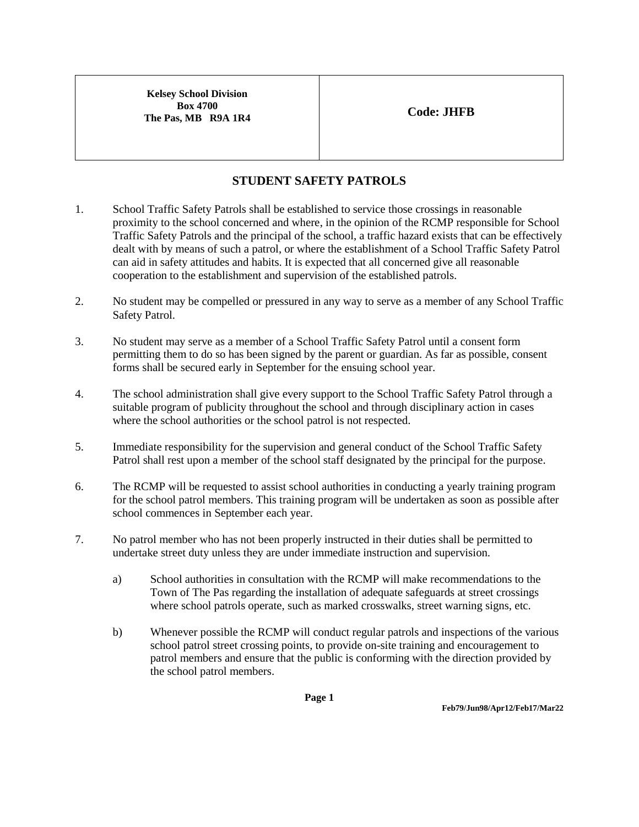**Kelsey School Division Box 4700 The Pas, MB R9A 1R4 Code: JHFB** 

## **STUDENT SAFETY PATROLS**

- 1. School Traffic Safety Patrols shall be established to service those crossings in reasonable proximity to the school concerned and where, in the opinion of the RCMP responsible for School Traffic Safety Patrols and the principal of the school, a traffic hazard exists that can be effectively dealt with by means of such a patrol, or where the establishment of a School Traffic Safety Patrol can aid in safety attitudes and habits. It is expected that all concerned give all reasonable cooperation to the establishment and supervision of the established patrols.
- 2. No student may be compelled or pressured in any way to serve as a member of any School Traffic Safety Patrol.
- 3. No student may serve as a member of a School Traffic Safety Patrol until a consent form permitting them to do so has been signed by the parent or guardian. As far as possible, consent forms shall be secured early in September for the ensuing school year.
- 4. The school administration shall give every support to the School Traffic Safety Patrol through a suitable program of publicity throughout the school and through disciplinary action in cases where the school authorities or the school patrol is not respected.
- 5. Immediate responsibility for the supervision and general conduct of the School Traffic Safety Patrol shall rest upon a member of the school staff designated by the principal for the purpose.
- 6. The RCMP will be requested to assist school authorities in conducting a yearly training program for the school patrol members. This training program will be undertaken as soon as possible after school commences in September each year.
- 7. No patrol member who has not been properly instructed in their duties shall be permitted to undertake street duty unless they are under immediate instruction and supervision.
	- a) School authorities in consultation with the RCMP will make recommendations to the Town of The Pas regarding the installation of adequate safeguards at street crossings where school patrols operate, such as marked crosswalks, street warning signs, etc.
	- b) Whenever possible the RCMP will conduct regular patrols and inspections of the various school patrol street crossing points, to provide on-site training and encouragement to patrol members and ensure that the public is conforming with the direction provided by the school patrol members.

**Page 1**

**Feb79/Jun98/Apr12/Feb17/Mar22**